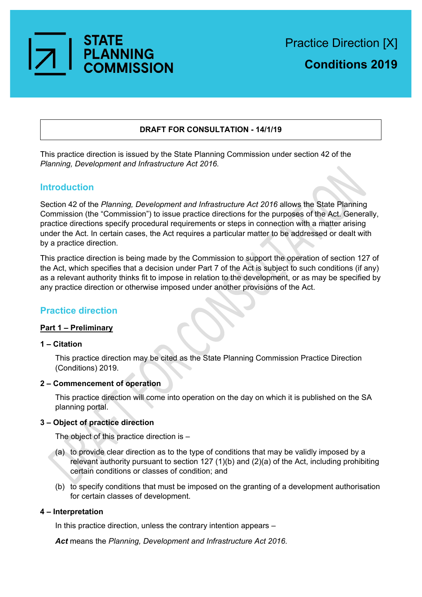

## **DRAFT FOR CONSULTATION - 14/1/19**

This practice direction is issued by the State Planning Commission under section 42 of the *Planning, Development and Infrastructure Act 2016.*

# **Introduction**

Section 42 of the *Planning, Development and Infrastructure Act 2016* allows the State Planning Commission (the "Commission") to issue practice directions for the purposes of the Act. Generally, practice directions specify procedural requirements or steps in connection with a matter arising under the Act. In certain cases, the Act requires a particular matter to be addressed or dealt with by a practice direction.

This practice direction is being made by the Commission to support the operation of section 127 of the Act, which specifies that a decision under Part 7 of the Act is subject to such conditions (if any) as a relevant authority thinks fit to impose in relation to the development, or as may be specified by any practice direction or otherwise imposed under another provisions of the Act.

# **Practice direction**

## **Part 1 – Preliminary**

## **1 – Citation**

This practice direction may be cited as the State Planning Commission Practice Direction (Conditions) 2019.

## **2 – Commencement of operation**

This practice direction will come into operation on the day on which it is published on the SA planning portal.

## **3 – Object of practice direction**

The object of this practice direction is –

- (a) to provide clear direction as to the type of conditions that may be validly imposed by a relevant authority pursuant to section 127 (1)(b) and (2)(a) of the Act, including prohibiting certain conditions or classes of condition; and
- (b) to specify conditions that must be imposed on the granting of a development authorisation for certain classes of development.

## **4 – Interpretation**

In this practice direction, unless the contrary intention appears –

*Act* means the *Planning, Development and Infrastructure Act 2016*.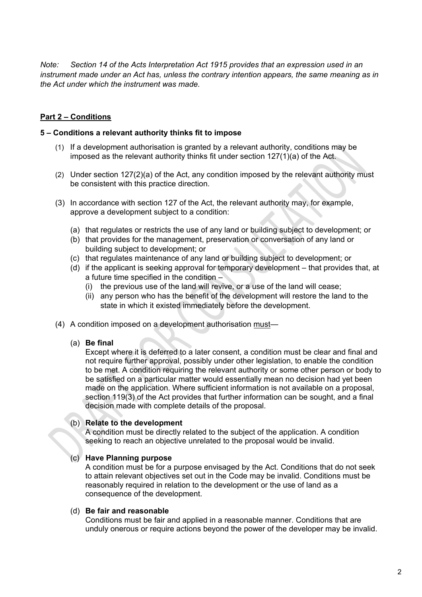*Note: Section 14 of the Acts Interpretation Act 1915 provides that an expression used in an instrument made under an Act has, unless the contrary intention appears, the same meaning as in the Act under which the instrument was made.*

## **Part 2 – Conditions**

#### **5 – Conditions a relevant authority thinks fit to impose**

- (1) If a development authorisation is granted by a relevant authority, conditions may be imposed as the relevant authority thinks fit under section 127(1)(a) of the Act.
- (2) Under section 127(2)(a) of the Act, any condition imposed by the relevant authority must be consistent with this practice direction.
- (3) In accordance with section 127 of the Act, the relevant authority may, for example, approve a development subject to a condition:
	- (a) that regulates or restricts the use of any land or building subject to development; or
	- (b) that provides for the management, preservation or conversation of any land or building subject to development; or
	- (c) that regulates maintenance of any land or building subject to development; or
	- (d) if the applicant is seeking approval for temporary development that provides that, at a future time specified in the condition –
		- (i) the previous use of the land will revive, or a use of the land will cease;
		- (ii) any person who has the benefit of the development will restore the land to the state in which it existed immediately before the development.
- (4) A condition imposed on a development authorisation must—
	- (a) **Be final**

Except where it is deferred to a later consent, a condition must be clear and final and not require further approval, possibly under other legislation, to enable the condition to be met. A condition requiring the relevant authority or some other person or body to be satisfied on a particular matter would essentially mean no decision had yet been made on the application. Where sufficient information is not available on a proposal, section 119(3) of the Act provides that further information can be sought, and a final decision made with complete details of the proposal.

## (b) **Relate to the development**

A condition must be directly related to the subject of the application. A condition seeking to reach an objective unrelated to the proposal would be invalid.

## (c) **Have Planning purpose**

A condition must be for a purpose envisaged by the Act. Conditions that do not seek to attain relevant objectives set out in the Code may be invalid. Conditions must be reasonably required in relation to the development or the use of land as a consequence of the development.

#### (d) **Be fair and reasonable**

Conditions must be fair and applied in a reasonable manner. Conditions that are unduly onerous or require actions beyond the power of the developer may be invalid.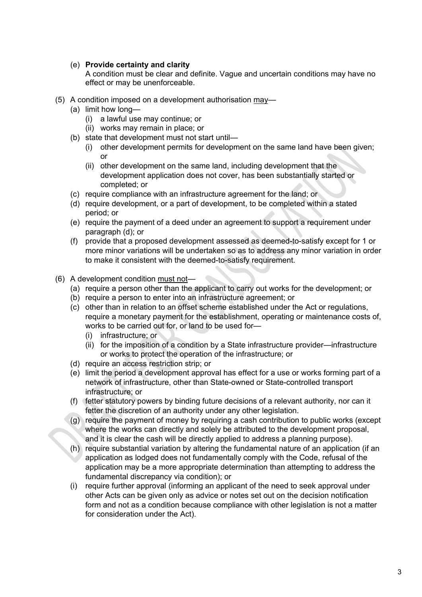## (e) **Provide certainty and clarity**

A condition must be clear and definite. Vague and uncertain conditions may have no effect or may be unenforceable.

- (5) A condition imposed on a development authorisation may—
	- (a) limit how long—
		- (i) a lawful use may continue; or
		- (ii) works may remain in place; or
	- (b) state that development must not start until—
		- (i) other development permits for development on the same land have been given; or
		- (ii) other development on the same land, including development that the development application does not cover, has been substantially started or completed; or
	- (c) require compliance with an infrastructure agreement for the land; or
	- (d) require development, or a part of development, to be completed within a stated period; or
	- (e) require the payment of a deed under an agreement to support a requirement under paragraph (d); or
	- (f) provide that a proposed development assessed as deemed-to-satisfy except for 1 or more minor variations will be undertaken so as to address any minor variation in order to make it consistent with the deemed-to-satisfy requirement.
- (6) A development condition must not—
	- (a) require a person other than the applicant to carry out works for the development; or
	- (b) require a person to enter into an infrastructure agreement; or
	- (c) other than in relation to an offset scheme established under the Act or regulations, require a monetary payment for the establishment, operating or maintenance costs of, works to be carried out for, or land to be used for—
		- (i) infrastructure; or
		- (ii) for the imposition of a condition by a State infrastructure provider—infrastructure or works to protect the operation of the infrastructure; or
	- (d) require an access restriction strip; or
	- (e) limit the period a development approval has effect for a use or works forming part of a network of infrastructure, other than State-owned or State-controlled transport infrastructure; or
	- (f) fetter statutory powers by binding future decisions of a relevant authority, nor can it fetter the discretion of an authority under any other legislation.
	- (g) require the payment of money by requiring a cash contribution to public works (except where the works can directly and solely be attributed to the development proposal, and it is clear the cash will be directly applied to address a planning purpose).
	- (h) require substantial variation by altering the fundamental nature of an application (if an application as lodged does not fundamentally comply with the Code, refusal of the application may be a more appropriate determination than attempting to address the fundamental discrepancy via condition); or
	- (i) require further approval (informing an applicant of the need to seek approval under other Acts can be given only as advice or notes set out on the decision notification form and not as a condition because compliance with other legislation is not a matter for consideration under the Act).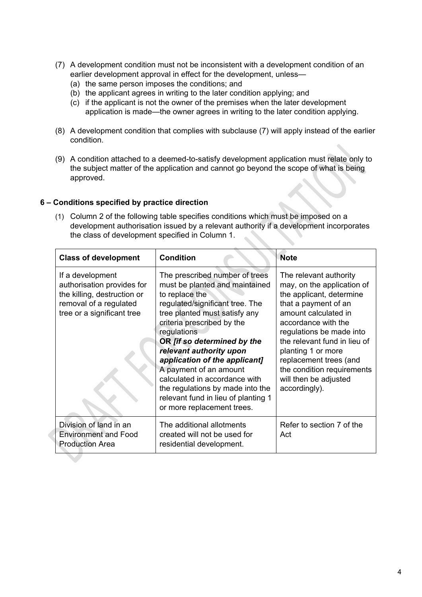- (7) A development condition must not be inconsistent with a development condition of an earlier development approval in effect for the development, unless—
	- (a) the same person imposes the conditions; and
	- (b) the applicant agrees in writing to the later condition applying; and
	- (c) if the applicant is not the owner of the premises when the later development application is made—the owner agrees in writing to the later condition applying.
- (8) A development condition that complies with subclause (7) will apply instead of the earlier condition.
- (9) A condition attached to a deemed-to-satisfy development application must relate only to the subject matter of the application and cannot go beyond the scope of what is being approved.

## **6 – Conditions specified by practice direction**

(1) Column 2 of the following table specifies conditions which must be imposed on a development authorisation issued by a relevant authority if a development incorporates the class of development specified in Column 1.

| <b>Class of development</b>                                                                                                           | <b>Condition</b>                                                                                                                                                                                                                                                                                                                                                                                                                                                   | <b>Note</b>                                                                                                                                                                                                                                                                                                                                 |
|---------------------------------------------------------------------------------------------------------------------------------------|--------------------------------------------------------------------------------------------------------------------------------------------------------------------------------------------------------------------------------------------------------------------------------------------------------------------------------------------------------------------------------------------------------------------------------------------------------------------|---------------------------------------------------------------------------------------------------------------------------------------------------------------------------------------------------------------------------------------------------------------------------------------------------------------------------------------------|
| If a development<br>authorisation provides for<br>the killing, destruction or<br>removal of a regulated<br>tree or a significant tree | The prescribed number of trees<br>must be planted and maintained<br>to replace the<br>regulated/significant tree. The<br>tree planted must satisfy any<br>criteria prescribed by the<br>regulations<br>OR [if so determined by the<br>relevant authority upon<br>application of the applicant]<br>A payment of an amount<br>calculated in accordance with<br>the regulations by made into the<br>relevant fund in lieu of planting 1<br>or more replacement trees. | The relevant authority<br>may, on the application of<br>the applicant, determine<br>that a payment of an<br>amount calculated in<br>accordance with the<br>regulations be made into<br>the relevant fund in lieu of<br>planting 1 or more<br>replacement trees (and<br>the condition requirements<br>will then be adjusted<br>accordingly). |
| Division of land in an<br><b>Environment and Food</b><br><b>Production Area</b>                                                       | The additional allotments<br>created will not be used for<br>residential development.                                                                                                                                                                                                                                                                                                                                                                              | Refer to section 7 of the<br>Act                                                                                                                                                                                                                                                                                                            |